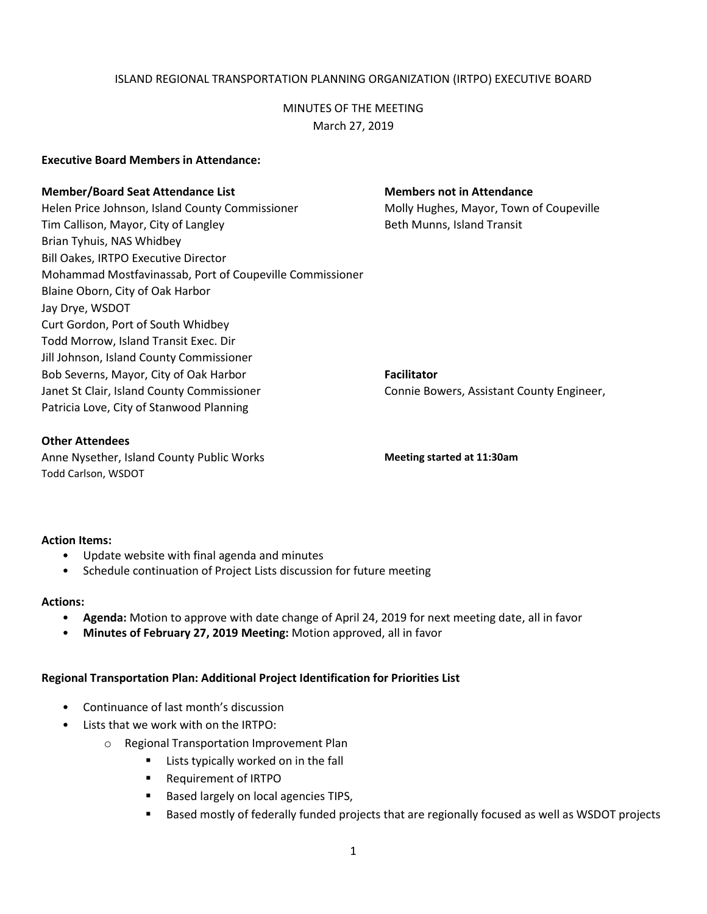# ISLAND REGIONAL TRANSPORTATION PLANNING ORGANIZATION (IRTPO) EXECUTIVE BOARD

# MINUTES OF THE MEETING March 27, 2019

### **Executive Board Members in Attendance:**

#### **Member/Board Seat Attendance List Members not in Attendance**

Helen Price Johnson, Island County Commissioner Molly Hughes, Mayor, Town of Coupeville Tim Callison, Mayor, City of Langley **Beth Munns, Island Transit** Brian Tyhuis, NAS Whidbey Bill Oakes, IRTPO Executive Director Mohammad Mostfavinassab, Port of Coupeville Commissioner Blaine Oborn, City of Oak Harbor Jay Drye, WSDOT Curt Gordon, Port of South Whidbey Todd Morrow, Island Transit Exec. Dir Jill Johnson, Island County Commissioner Bob Severns, Mayor, City of Oak Harbor **Facilitator Facilitator** Janet St Clair, Island County Commissioner Connie Bowers, Assistant County Engineer, Patricia Love, City of Stanwood Planning

### **Other Attendees**

Anne Nysether, Island County Public Works **Meeting started at 11:30am** Todd Carlson, WSDOT

#### **Action Items:**

- Update website with final agenda and minutes
- Schedule continuation of Project Lists discussion for future meeting

#### **Actions:**

- **Agenda:** Motion to approve with date change of April 24, 2019 for next meeting date, all in favor
- **Minutes of February 27, 2019 Meeting:** Motion approved, all in favor

# **Regional Transportation Plan: Additional Project Identification for Priorities List**

- Continuance of last month's discussion
- Lists that we work with on the IRTPO:
	- o Regional Transportation Improvement Plan
		- **E** Lists typically worked on in the fall
		- **Requirement of IRTPO**
		- Based largely on local agencies TIPS,
		- **Based mostly of federally funded projects that are regionally focused as well as WSDOT projects**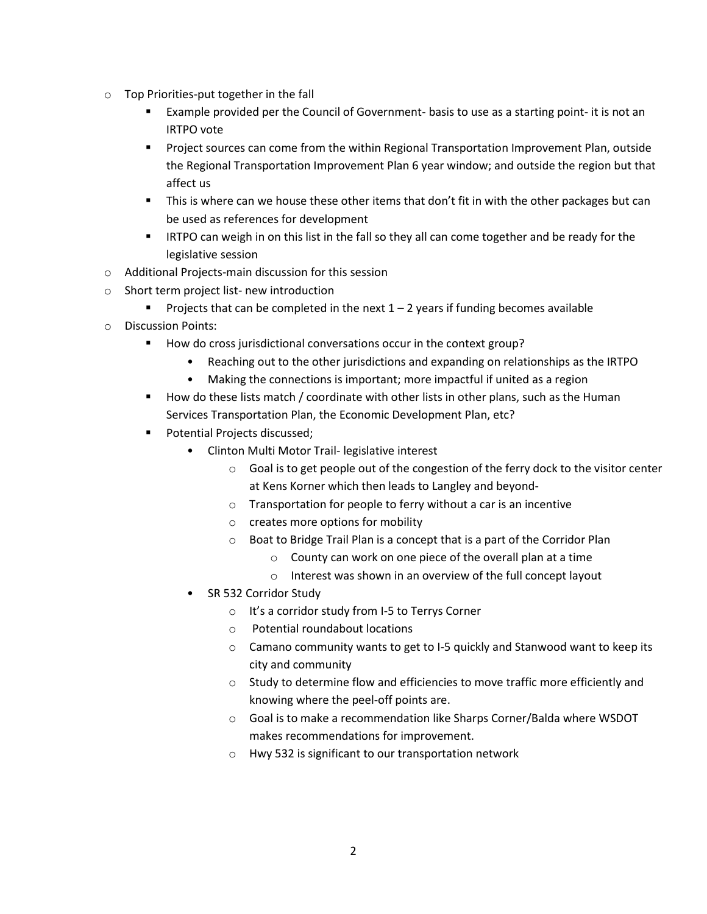- o Top Priorities-put together in the fall
	- Example provided per the Council of Government- basis to use as a starting point- it is not an IRTPO vote
	- Project sources can come from the within Regional Transportation Improvement Plan, outside the Regional Transportation Improvement Plan 6 year window; and outside the region but that affect us
	- **This is where can we house these other items that don't fit in with the other packages but can** be used as references for development
	- **IRTPO can weigh in on this list in the fall so they all can come together and be ready for the** legislative session
- o Additional Projects-main discussion for this session
- o Short term project list- new introduction
	- Projects that can be completed in the next  $1 2$  years if funding becomes available
- o Discussion Points:
	- How do cross jurisdictional conversations occur in the context group?
		- Reaching out to the other jurisdictions and expanding on relationships as the IRTPO
		- Making the connections is important; more impactful if united as a region
	- $\blacksquare$  How do these lists match / coordinate with other lists in other plans, such as the Human Services Transportation Plan, the Economic Development Plan, etc?
	- **Potential Projects discussed;** 
		- Clinton Multi Motor Trail- legislative interest
			- $\circ$  Goal is to get people out of the congestion of the ferry dock to the visitor center at Kens Korner which then leads to Langley and beyond-
			- o Transportation for people to ferry without a car is an incentive
			- o creates more options for mobility
			- o Boat to Bridge Trail Plan is a concept that is a part of the Corridor Plan
				- o County can work on one piece of the overall plan at a time
				- o Interest was shown in an overview of the full concept layout
		- SR 532 Corridor Study
			- o It's a corridor study from I-5 to Terrys Corner
			- o Potential roundabout locations
			- o Camano community wants to get to I-5 quickly and Stanwood want to keep its city and community
			- o Study to determine flow and efficiencies to move traffic more efficiently and knowing where the peel-off points are.
			- o Goal is to make a recommendation like Sharps Corner/Balda where WSDOT makes recommendations for improvement.
			- o Hwy 532 is significant to our transportation network